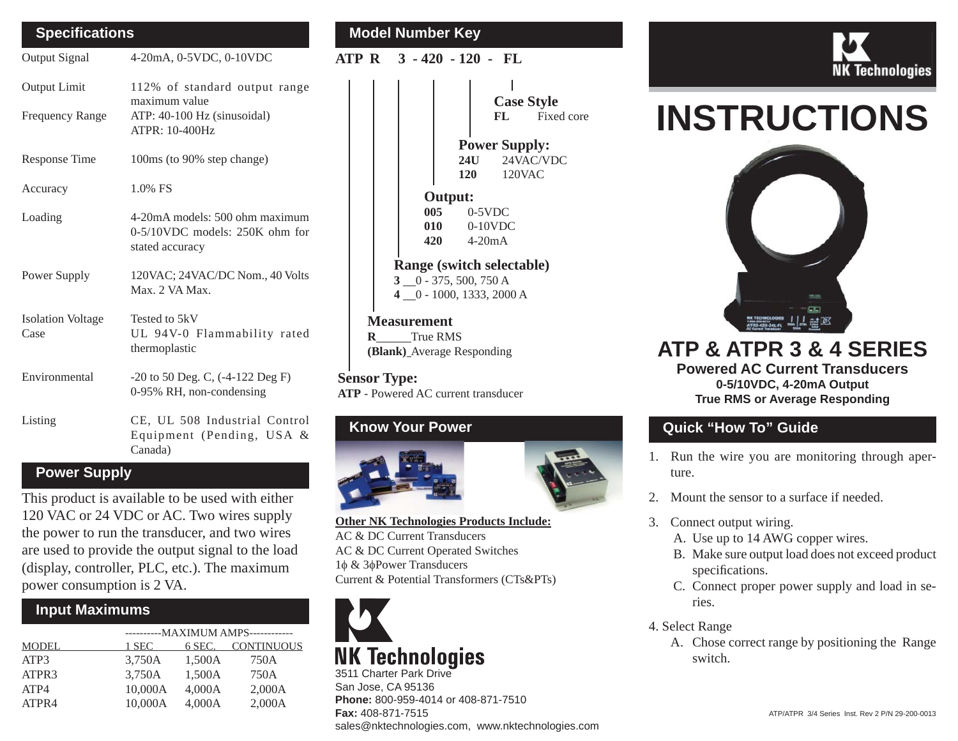### **Speci fi cations**

Output Signal 4-20mA, 0-5VDC, 0-10VDC

| Output Limit<br><b>Frequency Range</b> | 112% of standard output range<br>maximum value<br>ATP: 40-100 Hz (sinusoidal)<br><b>ATPR: 10-400Hz</b> |  |  |
|----------------------------------------|--------------------------------------------------------------------------------------------------------|--|--|
| Response Time                          | 100ms (to 90% step change)                                                                             |  |  |
| Accuracy                               | $1.0\%$ FS                                                                                             |  |  |
| Loading                                | 4-20mA models: 500 ohm maximum<br>0-5/10VDC models: 250K ohm for<br>stated accuracy                    |  |  |
| Power Supply                           | 120VAC; 24VAC/DC Nom., 40 Volts<br>Max. 2 VA Max.                                                      |  |  |
| <b>Isolation Voltage</b><br>Case       | Tested to 5kV<br>UL 94V-0 Flammability rated<br>thermoplastic                                          |  |  |
| Environmental                          | $-20$ to 50 Deg. C, $(-4-122 \text{ Deg F})$<br>0-95% RH, non-condensing                               |  |  |
| Listing                                | CE, UL 508 Industrial Control<br>Equipment (Pending, USA &                                             |  |  |

#### **Power Supply**

This product is available to be used with either 120 VAC or 24 VDC or AC. Two wires supply the power to run the transducer, and two wires are used to provide the output signal to the load (display, controller, PLC, etc.). The maximum power consumption is 2 VA.

Canada)

#### **Input Maximums**

| MODEL |         | ----------- MAXIMUM AMPS------------ |                   |  |  |
|-------|---------|--------------------------------------|-------------------|--|--|
|       | 1 SEC   | 6 SEC.                               | <b>CONTINUOUS</b> |  |  |
| ATP3  | 3,750A  | 1,500A                               | 750A              |  |  |
| ATPR3 | 3,750A  | 1,500A                               | 750A              |  |  |
| ATP4  | 10,000A | 4,000A                               | 2,000A            |  |  |
| ATPR4 | 10.000A | 4.000A                               | 2,000A            |  |  |

### **Model Number Key**

**ATP R 3 - 420 - 120 - FL**



**MeasurementR** True RMS**(Blank)** Average Responding

**Sensor Type: ATP** - Powered AC current transducer

## **Know Your Power**



**Other NK Technologies Products Include:** AC & DC Current TransducersAC & DC Current Operated Switches 1φ & 3 φPower Transducers Current & Potential Transformers (CTs&PTs)



3511 Charter Park DriveSan Jose, CA 95136 **Phone:** 800-959-4014 or 408-871-7510 **Fax:** 408-871-7515sales@nktechnologies.com, www.nktechnologies.com



# **INSTRUCTIONS**



**ATP & ATPR 3 & 4 SERIESPowered AC Current Transducers0-5/10VDC, 4-20mA Output True RMS or Average Responding**

## **Quick "How To" Guide**

- 1. Run the wire you are monitoring through aperture.
- 2. Mount the sensor to a surface if needed.
- 3. Connect output wiring.
	- A. Use up to 14 AWG copper wires.
	- B. Make sure output load does not exceed product specifications.
	- C. Connect proper power supply and load in series.
- 4. Select Range
	- A. Chose correct range by positioning the Range switch.